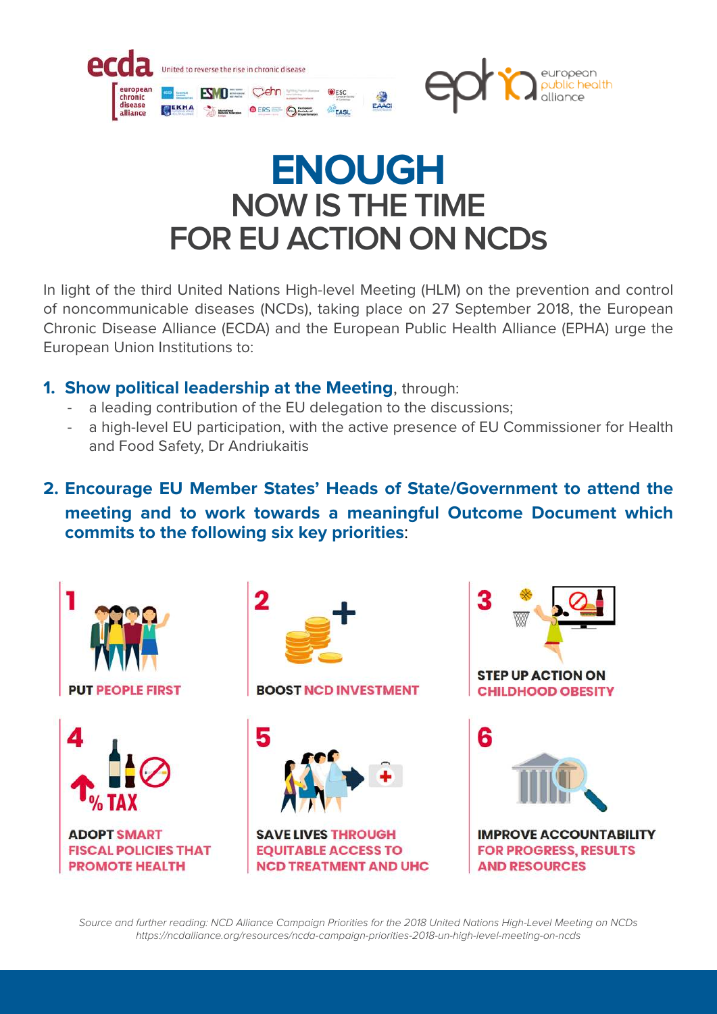

# **ENOUGH NOW IS THE TIME FOR EU ACTION ON NCDs**

In light of the third United Nations High-level Meeting (HLM) on the prevention and control of noncommunicable diseases (NCDs), taking place on 27 September 2018, the European Chronic Disease Alliance (ECDA) and the European Public Health Alliance (EPHA) urge the European Union Institutions to:

## **1. Show political leadership at the Meeting**, through:

- a leading contribution of the EU delegation to the discussions;
- a high-level EU participation, with the active presence of EU Commissioner for Health and Food Safety, Dr Andriukaitis
- **2. Encourage EU Member States' Heads of State/Government to attend the meeting and to work towards a meaningful Outcome Document which commits to the following six key priorities**:



*Source and further reading: NCD Alliance Campaign Priorities for the 2018 United Nations High-Level Meeting on NCDs https://ncdalliance.org/resources/ncda-campaign-priorities-2018-un-high-level-meeting-on-ncds*